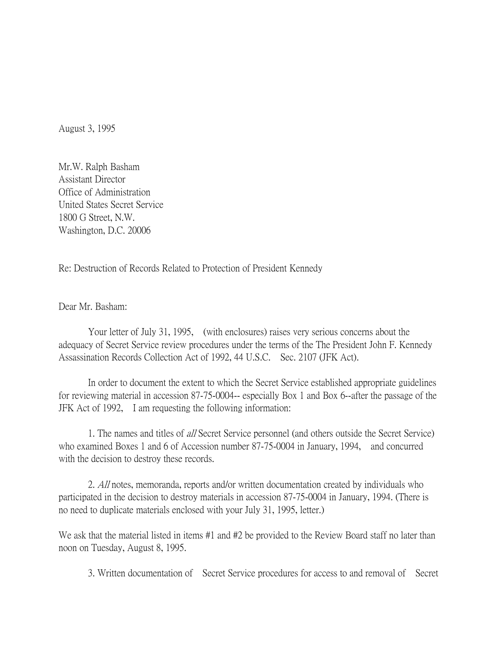August 3, 1995

Mr.W. Ralph Basham Assistant Director Office of Administration United States Secret Service 1800 G Street, N.W. Washington, D.C. 20006

Re: Destruction of Records Related to Protection of President Kennedy

Dear Mr. Basham:

Your letter of July 31, 1995, (with enclosures) raises very serious concerns about the adequacy of Secret Service review procedures under the terms of the The President John F. Kennedy Assassination Records Collection Act of 1992, 44 U.S.C. Sec. 2107 (JFK Act).

In order to document the extent to which the Secret Service established appropriate guidelines for reviewing material in accession 87-75-0004-- especially Box 1 and Box 6--after the passage of the JFK Act of 1992, I am requesting the following information:

1. The names and titles of all Secret Service personnel (and others outside the Secret Service) who examined Boxes 1 and 6 of Accession number 87-75-0004 in January, 1994, and concurred with the decision to destroy these records.

2. All notes, memoranda, reports and/or written documentation created by individuals who participated in the decision to destroy materials in accession 87-75-0004 in January, 1994. (There is no need to duplicate materials enclosed with your July 31, 1995, letter.)

We ask that the material listed in items #1 and #2 be provided to the Review Board staff no later than noon on Tuesday, August 8, 1995.

3. Written documentation of Secret Service procedures for access to and removal of Secret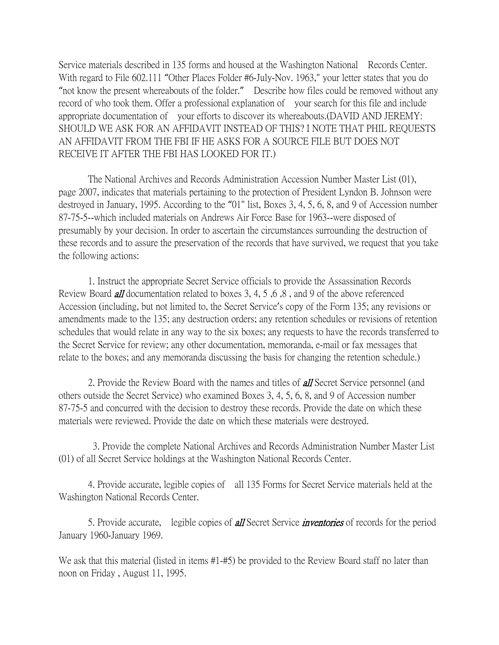Service materials described in 135 forms and housed at the Washington National Records Center. With regard to File 602.111 "Other Places Folder #6-July-Nov. 1963," your letter states that you do "not know the present whereabouts of the folder." Describe how files could be removed without any record of who took them. Offer a professional explanation of your search for this file and include appropriate documentation of your efforts to discover its whereabouts.(DAVID AND JEREMY: SHOULD WE ASK FOR AN AFFIDAVIT INSTEAD OF THIS? I NOTE THAT PHIL REQUESTS AN AFFIDAVIT FROM THE FBI IF HE ASKS FOR A SOURCE FILE BUT DOES NOT RECEIVE IT AFTER THE FBI HAS LOOKED FOR IT.)

The National Archives and Records Administration Accession Number Master List (01), page 2007, indicates that materials pertaining to the protection of President Lyndon B. Johnson were destroyed in January, 1995. According to the "01" list, Boxes 3, 4, 5, 6, 8, and 9 of Accession number 87-75-5--which included materials on Andrews Air Force Base for 1963--were disposed of presumably by your decision. In order to ascertain the circumstances surrounding the destruction of these records and to assure the preservation of the records that have survived, we request that you take the following actions:

1. Instruct the appropriate Secret Service officials to provide the Assassination Records Review Board **all** documentation related to boxes 3, 4, 5, 6, 8, and 9 of the above referenced Accession (including, but not limited to, the Secret Service's copy of the Form 135; any revisions or amendments made to the 135; any destruction orders; any retention schedules or revisions of retention schedules that would relate in any way to the six boxes; any requests to have the records transferred to the Secret Service for review; any other documentation, memoranda, e-mail or fax messages that relate to the boxes; and any memoranda discussing the basis for changing the retention schedule.)

2. Provide the Review Board with the names and titles of **all** Secret Service personnel (and others outside the Secret Service) who examined Boxes 3, 4, 5, 6, 8, and 9 of Accession number 87-75-5 and concurred with the decision to destroy these records. Provide the date on which these materials were reviewed. Provide the date on which these materials were destroyed.

3. Provide the complete National Archives and Records Administration Number Master List (01) of all Secret Service holdings at the Washington National Records Center.

4. Provide accurate, legible copies of all 135 Forms for Secret Service materials held at the Washington National Records Center.

5. Provide accurate, legible copies of **all** Secret Service *inventories* of records for the period January 1960-January 1969.

We ask that this material (listed in items #1-#5) be provided to the Review Board staff no later than noon on Friday , August 11, 1995.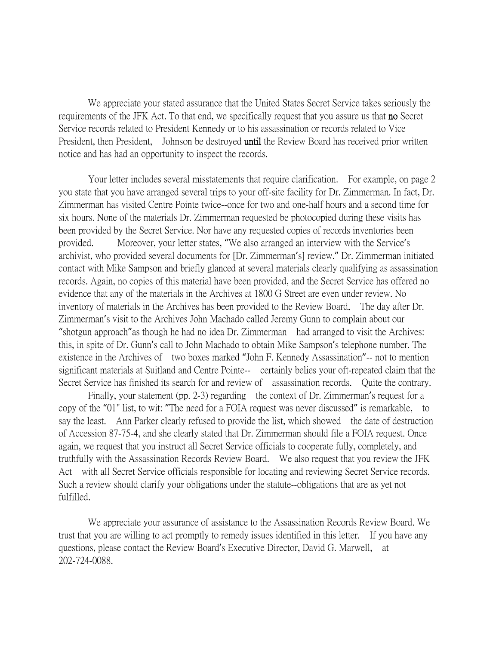We appreciate your stated assurance that the United States Secret Service takes seriously the requirements of the JFK Act. To that end, we specifically request that you assure us that no Secret Service records related to President Kennedy or to his assassination or records related to Vice President, then President, Johnson be destroyed until the Review Board has received prior written notice and has had an opportunity to inspect the records.

Your letter includes several misstatements that require clarification. For example, on page 2 you state that you have arranged several trips to your off-site facility for Dr. Zimmerman. In fact, Dr. Zimmerman has visited Centre Pointe twice--once for two and one-half hours and a second time for six hours. None of the materials Dr. Zimmerman requested be photocopied during these visits has been provided by the Secret Service. Nor have any requested copies of records inventories been provided. Moreover, your letter states, "We also arranged an interview with the Service's archivist, who provided several documents for [Dr. Zimmerman's] review." Dr. Zimmerman initiated contact with Mike Sampson and briefly glanced at several materials clearly qualifying as assassination records. Again, no copies of this material have been provided, and the Secret Service has offered no evidence that any of the materials in the Archives at 1800 G Street are even under review. No inventory of materials in the Archives has been provided to the Review Board. The day after Dr. Zimmerman's visit to the Archives John Machado called Jeremy Gunn to complain about our "shotgun approach"as though he had no idea Dr. Zimmerman had arranged to visit the Archives: this, in spite of Dr. Gunn's call to John Machado to obtain Mike Sampson's telephone number. The existence in the Archives of two boxes marked "John F. Kennedy Assassination"-- not to mention significant materials at Suitland and Centre Pointe-- certainly belies your oft-repeated claim that the Secret Service has finished its search for and review of assassination records. Quite the contrary.

Finally, your statement (pp. 2-3) regarding the context of Dr. Zimmerman's request for a copy of the "01" list, to wit: "The need for a FOIA request was never discussed" is remarkable, to say the least. Ann Parker clearly refused to provide the list, which showed the date of destruction of Accession 87-75-4, and she clearly stated that Dr. Zimmerman should file a FOIA request. Once again, we request that you instruct all Secret Service officials to cooperate fully, completely, and truthfully with the Assassination Records Review Board. We also request that you review the JFK Act with all Secret Service officials responsible for locating and reviewing Secret Service records. Such a review should clarify your obligations under the statute--obligations that are as yet not fulfilled.

We appreciate your assurance of assistance to the Assassination Records Review Board. We trust that you are willing to act promptly to remedy issues identified in this letter. If you have any questions, please contact the Review Board's Executive Director, David G. Marwell, at 202-724-0088.